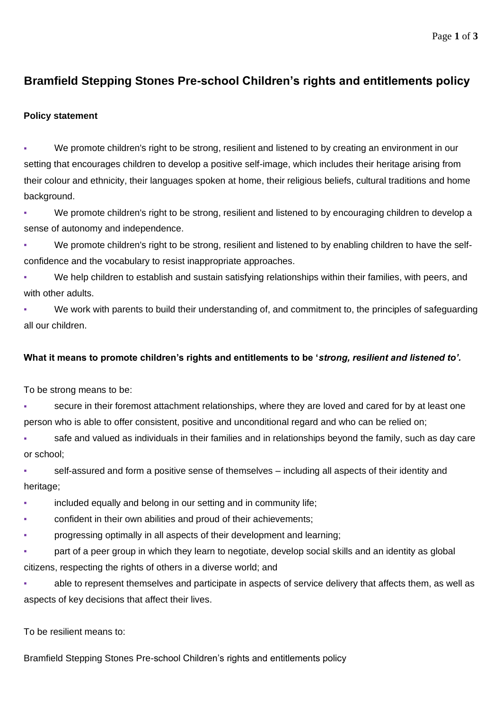## **Bramfield Stepping Stones Pre-school Children's rights and entitlements policy**

## **Policy statement**

We promote children's right to be strong, resilient and listened to by creating an environment in our setting that encourages children to develop a positive self-image, which includes their heritage arising from their colour and ethnicity, their languages spoken at home, their religious beliefs, cultural traditions and home background.

We promote children's right to be strong, resilient and listened to by encouraging children to develop a sense of autonomy and independence.

We promote children's right to be strong, resilient and listened to by enabling children to have the selfconfidence and the vocabulary to resist inappropriate approaches.

We help children to establish and sustain satisfying relationships within their families, with peers, and with other adults.

We work with parents to build their understanding of, and commitment to, the principles of safeguarding all our children.

## **What it means to promote children's rights and entitlements to be '***strong, resilient and listened to'.*

To be strong means to be:

secure in their foremost attachment relationships, where they are loved and cared for by at least one person who is able to offer consistent, positive and unconditional regard and who can be relied on;

safe and valued as individuals in their families and in relationships beyond the family, such as day care or school;

self-assured and form a positive sense of themselves – including all aspects of their identity and heritage;

included equally and belong in our setting and in community life;

confident in their own abilities and proud of their achievements;

▪ progressing optimally in all aspects of their development and learning;

part of a peer group in which they learn to negotiate, develop social skills and an identity as global citizens, respecting the rights of others in a diverse world; and

able to represent themselves and participate in aspects of service delivery that affects them, as well as aspects of key decisions that affect their lives.

To be resilient means to:

Bramfield Stepping Stones Pre-school Children's rights and entitlements policy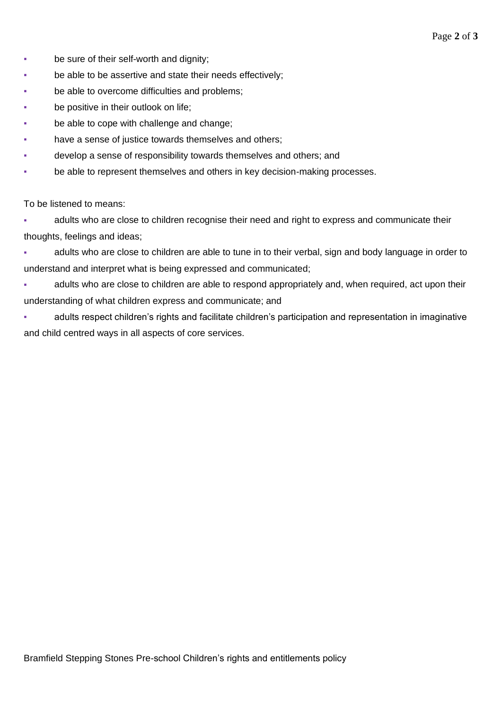- be sure of their self-worth and dignity;
- be able to be assertive and state their needs effectively;
- be able to overcome difficulties and problems;
- be positive in their outlook on life;
- be able to cope with challenge and change;
- have a sense of justice towards themselves and others;
- develop a sense of responsibility towards themselves and others; and
- be able to represent themselves and others in key decision-making processes.

To be listened to means:

- adults who are close to children recognise their need and right to express and communicate their thoughts, feelings and ideas;
- adults who are close to children are able to tune in to their verbal, sign and body language in order to understand and interpret what is being expressed and communicated;
- adults who are close to children are able to respond appropriately and, when required, act upon their understanding of what children express and communicate; and
- adults respect children's rights and facilitate children's participation and representation in imaginative and child centred ways in all aspects of core services.